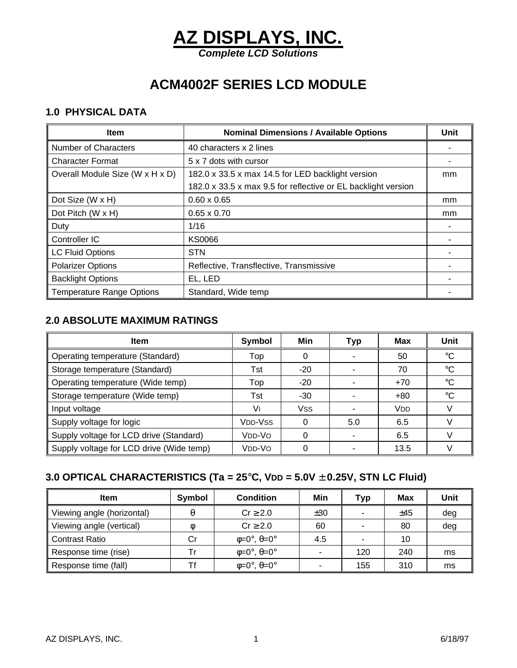# **AZ DISPLAYS, INC.** *Complete LCD Solutions*

**ACM4002F SERIES LCD MODULE**

#### **1.0 PHYSICAL DATA**

| <b>Item</b>                      | <b>Nominal Dimensions / Available Options</b>                 | Unit |
|----------------------------------|---------------------------------------------------------------|------|
| <b>Number of Characters</b>      | 40 characters x 2 lines                                       |      |
| <b>Character Format</b>          | 5 x 7 dots with cursor                                        |      |
| Overall Module Size (W x H x D)  | 182.0 x 33.5 x max 14.5 for LED backlight version             | mm   |
|                                  | 182.0 x 33.5 x max 9.5 for reflective or EL backlight version |      |
| Dot Size (W x H)                 | $0.60 \times 0.65$                                            | mm   |
| Dot Pitch (W x H)                | $0.65 \times 0.70$                                            | mm   |
| Duty                             | 1/16                                                          |      |
| Controller IC                    | <b>KS0066</b>                                                 |      |
| <b>LC Fluid Options</b>          | <b>STN</b>                                                    |      |
| <b>Polarizer Options</b>         | Reflective, Transflective, Transmissive                       |      |
| <b>Backlight Options</b>         | EL, LED                                                       |      |
| <b>Temperature Range Options</b> | Standard, Wide temp                                           |      |

#### **2.0 ABSOLUTE MAXIMUM RATINGS**

| <b>Item</b>                              | Symbol         | Min   | <b>Typ</b> | Max                   | Unit        |
|------------------------------------------|----------------|-------|------------|-----------------------|-------------|
| Operating temperature (Standard)         | Top            | 0     |            | 50                    | $^{\circ}C$ |
| Storage temperature (Standard)           | Tst            | $-20$ |            | 70                    | $^{\circ}C$ |
| Operating temperature (Wide temp)        | Top            | $-20$ |            | $+70$                 | °C          |
| Storage temperature (Wide temp)          | Tst            | -30   |            | $+80$                 | °C          |
| Input voltage                            | V١             | Vss   |            | <b>V<sub>DD</sub></b> |             |
| Supply voltage for logic                 | <b>VDD-VSS</b> | 0     | 5.0        | 6.5                   |             |
| Supply voltage for LCD drive (Standard)  | Vdd-Vo         |       |            | 6.5                   |             |
| Supply voltage for LCD drive (Wide temp) | VDD-VO         |       |            | 13.5                  |             |

### **3.0 OPTICAL CHARACTERISTICS (Ta = 25**°**C, VDD = 5.0V** ± **0.25V, STN LC Fluid)**

| <b>Item</b>                | Symbol | <b>Condition</b>                      | Min | Typ                      | <b>Max</b> | Unit |
|----------------------------|--------|---------------------------------------|-----|--------------------------|------------|------|
| Viewing angle (horizontal) |        | $Cr \geq 2.0$                         | ±30 |                          | ±45        | deg  |
| Viewing angle (vertical)   |        | $Cr \geq 2.0$                         | 60  | -                        | 80         | deg  |
| <b>Contrast Ratio</b>      | Cr     | $\phi = 0^\circ$ , $\theta = 0^\circ$ | 4.5 | $\overline{\phantom{0}}$ | 10         |      |
| Response time (rise)       | Tr     | $\phi = 0^\circ$ , $\theta = 0^\circ$ |     | 120                      | 240        | ms   |
| Response time (fall)       |        | $\phi = 0^\circ$ , $\theta = 0^\circ$ |     | 155                      | 310        | ms   |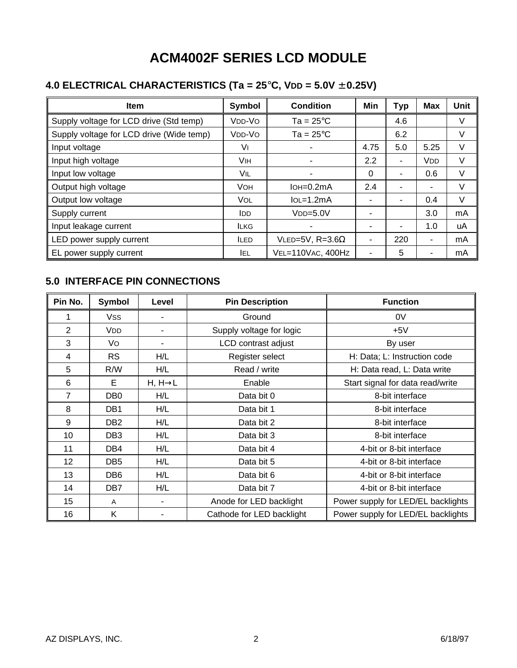# **ACM4002F SERIES LCD MODULE**

## **4.0 ELECTRICAL CHARACTERISTICS (Ta = 25**°**C, VDD = 5.0V** ± **0.25V)**

| <b>Item</b>                              | Symbol                          | <b>Condition</b>       | Min      | Typ | <b>Max</b> | Unit |
|------------------------------------------|---------------------------------|------------------------|----------|-----|------------|------|
| Supply voltage for LCD drive (Std temp)  | V <sub>DD</sub> -V <sub>O</sub> | $Ta = 25^{\circ}C$     |          | 4.6 |            | V    |
| Supply voltage for LCD drive (Wide temp) | V <sub>DD</sub> -V <sub>O</sub> | $Ta = 25^{\circ}C$     |          | 6.2 |            | V    |
| Input voltage                            | VI                              |                        | 4.75     | 5.0 | 5.25       | V    |
| Input high voltage                       | VIH                             |                        | 2.2      | ۰   | <b>VDD</b> | V    |
| Input low voltage                        | VIL                             |                        | $\Omega$ | ۰   | 0.6        | V    |
| Output high voltage                      | <b>VOH</b>                      | $IoH = 0.2mA$          | 2.4      |     |            | V    |
| Output low voltage                       | <b>VOL</b>                      | $IoL = 1.2mA$          |          | ۰   | 0.4        | V    |
| Supply current                           | <b>IDD</b>                      | $VDD=5.0V$             | ۰        |     | 3.0        | mA   |
| Input leakage current                    | <b>ILKG</b>                     |                        |          | -   | 1.0        | uA   |
| LED power supply current                 | <b>ILED</b>                     | VLED=5V, $R=3.6\Omega$ | ۰        | 220 |            | mA   |
| EL power supply current                  | IEL.                            | VEL=110VAC, 400Hz      |          | 5   |            | mA   |

#### **5.0 INTERFACE PIN CONNECTIONS**

| Pin No.        | <b>Symbol</b>         | Level                | <b>Pin Description</b>    | <b>Function</b>                    |  |
|----------------|-----------------------|----------------------|---------------------------|------------------------------------|--|
|                | <b>Vss</b>            |                      | Ground                    | 0V                                 |  |
| 2              | <b>V<sub>DD</sub></b> |                      | Supply voltage for logic  | $+5V$                              |  |
| 3              | Vo                    |                      | LCD contrast adjust       | By user                            |  |
| 4              | <b>RS</b>             | H/L                  | Register select           | H: Data; L: Instruction code       |  |
| 5              | R/W                   | H/L                  | Read / write              | H: Data read, L: Data write        |  |
| 6              | E                     | $H, H \rightarrow L$ | Enable                    | Start signal for data read/write   |  |
| $\overline{7}$ | DB <sub>0</sub>       | H/L                  | Data bit 0                | 8-bit interface                    |  |
| 8              | DB <sub>1</sub>       | H/L                  | Data bit 1                | 8-bit interface                    |  |
| 9              | DB <sub>2</sub>       | H/L                  | Data bit 2                | 8-bit interface                    |  |
| 10             | DB <sub>3</sub>       | H/L                  | Data bit 3                | 8-bit interface                    |  |
| 11             | DB4                   | H/L                  | Data bit 4                | 4-bit or 8-bit interface           |  |
| 12             | DB <sub>5</sub>       | H/L                  | Data bit 5                | 4-bit or 8-bit interface           |  |
| 13             | DB <sub>6</sub>       | H/L                  | Data bit 6                | 4-bit or 8-bit interface           |  |
| 14             | DB7                   | H/L                  | Data bit 7                | 4-bit or 8-bit interface           |  |
| 15             | A                     |                      | Anode for LED backlight   | Power supply for LED/EL backlights |  |
| 16             | K                     |                      | Cathode for LED backlight | Power supply for LED/EL backlights |  |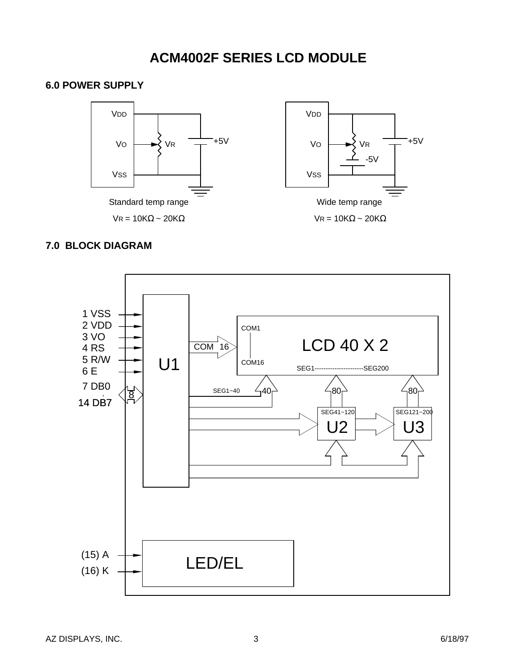## **ACM4002F SERIES LCD MODULE**



#### **7.0 BLOCK DIAGRAM**

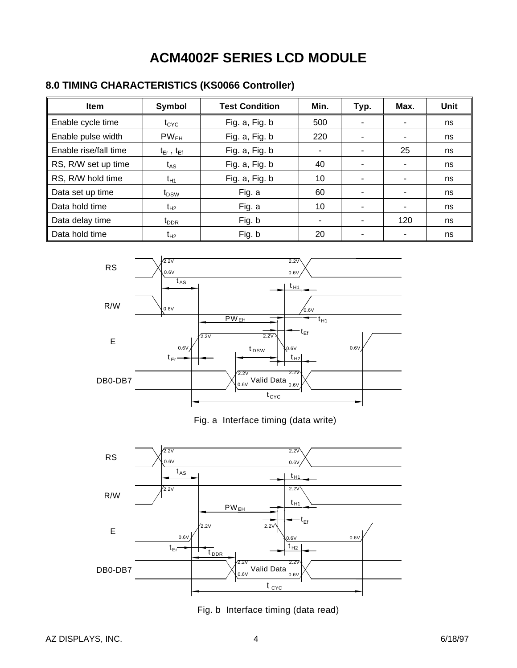# **ACM4002F SERIES LCD MODULE**

### **8.0 TIMING CHARACTERISTICS (KS0066 Controller)**

| <b>Item</b>           | Symbol              | <b>Test Condition</b> | Min. | Typ.                     | Max. | Unit |
|-----------------------|---------------------|-----------------------|------|--------------------------|------|------|
| Enable cycle time     | $t_{\rm CYC}$       | Fig. a, Fig. b        | 500  | ۰                        | ٠    | ns   |
| Enable pulse width    | $PW_{EH}$           | Fig. a, Fig. b        | 220  | ٠                        | ۰    | ns   |
| Enable rise/fall time | $t_{Er}$ , $t_{Ef}$ | Fig. a, Fig. b        |      | ٠                        | 25   | ns   |
| RS, R/W set up time   | t <sub>AS</sub>     | Fig. a, Fig. b        | 40   | ٠                        | ٠    | ns   |
| RS, R/W hold time     | $t_{H1}$            | Fig. a, Fig. b        | 10   | ٠                        | ٠    | ns   |
| Data set up time      | t <sub>DSW</sub>    | Fig. a                | 60   | ۰                        | ٠    | ns   |
| Data hold time        | $t_{H2}$            | Fig. a                | 10   | $\overline{\phantom{0}}$ | ۰    | ns   |
| Data delay time       | $t_{\rm DDR}$       | Fig. b                |      | ۰                        | 120  | ns   |
| Data hold time        | $t_{H2}$            | Fig. b                | 20   | ٠                        |      | ns   |



Fig. a Interface timing (data write)



Fig. b Interface timing (data read)